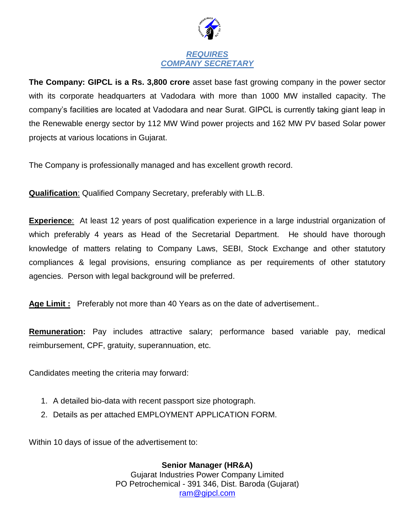

## *REQUIRES COMPANY SECRETARY*

**The Company: GIPCL is a Rs. 3,800 crore** asset base fast growing company in the power sector with its corporate headquarters at Vadodara with more than 1000 MW installed capacity. The company's facilities are located at Vadodara and near Surat. GIPCL is currently taking giant leap in the Renewable energy sector by 112 MW Wind power projects and 162 MW PV based Solar power projects at various locations in Gujarat.

The Company is professionally managed and has excellent growth record.

**Qualification**: Qualified Company Secretary, preferably with LL.B.

**Experience**: At least 12 years of post qualification experience in a large industrial organization of which preferably 4 years as Head of the Secretarial Department. He should have thorough knowledge of matters relating to Company Laws, SEBI, Stock Exchange and other statutory compliances & legal provisions, ensuring compliance as per requirements of other statutory agencies. Person with legal background will be preferred.

**Age Limit :** Preferably not more than 40 Years as on the date of advertisement..

**Remuneration:** Pay includes attractive salary; performance based variable pay, medical reimbursement, CPF, gratuity, superannuation, etc.

Candidates meeting the criteria may forward:

- 1. A detailed bio-data with recent passport size photograph.
- 2. Details as per attached EMPLOYMENT APPLICATION FORM.

Within 10 days of issue of the advertisement to:

**Senior Manager (HR&A)** Gujarat Industries Power Company Limited PO Petrochemical - 391 346, Dist. Baroda (Gujarat) [ram@gipcl.com](mailto:ram@gipcl.com)